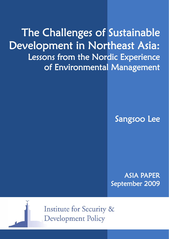The Challenges of Sustainable Development in Northeast Asia: Lessons from the Nordic Experience of Environmental Management

Sangsoo Lee

ASIA PAPER September 2009



**Institute for Security & Development Policy**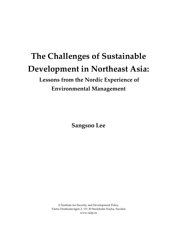# **The Challenges of Sustainable Development in Northeast Asia:**

 **Lessons from the Nordic Experience of Environmental Management** 

**Sangsoo Lee** 

© Institute for Security and Development Policy Västra Finnbodavägen 2, 131 30 Stockholm-Nacka, Sweden www.isdp.eu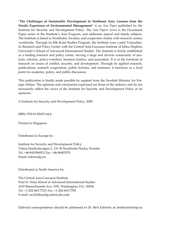"**The Challenges of Sustainable Development in Northeast Asia: Lessons from the Nordic Experience of Environmental Management**" is an *Asia Paper* published by the Institute for Security and Development Policy. The *Asia Papers Series* is the Occasional Paper series of the Institute's Asia Program, and addresses topical and timely subjects. The Institute is based in Stockholm, Sweden, and cooperates closely with research centers worldwide. Through its Silk Road Studies Program, the Institute runs a joint Transatlantic Research and Policy Center with the Central Asia-Caucasus Institute of Johns Hopkins University's School of Advanced International Studies. The Institute is firmly established as a leading research and policy center, serving a large and diverse community of analysts, scholars, policy-watchers, business leaders, and journalists. It is at the forefront of research on issues of conflict, security, and development. Through its applied research, publications, research cooperation, public lectures, and seminars, it functions as a focal point for academic, policy, and public discussion.

This publication is kindly made possible by support from the Swedish Ministry for Foreign Affairs. The opinions and conclusions expressed are those of the author/s and do not necessarily reflect the views of the Institute for Security and Development Policy or its sponsors.

© Institute for Security and Development Policy, 2009

ISBN: 978-91-85937-64-6

Printed in Singapore

Distributed in Europe by:

Institute for Security and Development Policy Västra Finnbodavägen 2, 131 30 Stockholm-Nacka, Sweden Tel. +46-841056953; Fax. +46-86403370 Email: info@isdp.eu

Distributed in North America by:

The Central Asia-Caucasus Institute Paul H. Nitze School of Advanced International Studies 1619 Massachusetts Ave. NW, Washington, D.C. 20036 Tel. +1-202-663-7723; Fax. +1-202-663-7785 E-mail: caci2@jhuadig.admin.jhu.edu

Editorial correspondence should be addressed to Dr. Bert Edström at: bedstrom@isdp.eu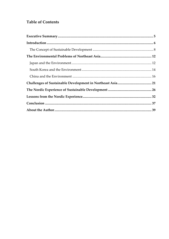# **Table of Contents**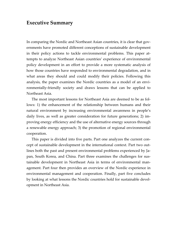# **Executive Summary**

In comparing the Nordic and Northeast Asian countries, it is clear that governments have promoted different conceptions of sustainable development in their policy actions to tackle environmental problems. This paper attempts to analyze Northeast Asian countries' experience of environmental policy development in an effort to provide a more systematic analysis of how those countries have responded to environmental degradation, and in what areas they should and could modify their policies. Following this analysis, the paper examines the Nordic countries as a model of an environmentally-friendly society and draws lessons that can be applied to Northeast Asia.

 The most important lessons for Northeast Asia are deemed to be as follows: 1) the enhancement of the relationship between humans and their natural environment by increasing environmental awareness in people's daily lives, as well as greater consideration for future generations; 2) improving energy efficiency and the use of alternative energy sources through a renewable energy approach; 3) the promotion of regional environmental cooperation.

 This paper is divided into five parts. Part one analyzes the current concept of sustainable development in the international context. Part two outlines both the past and present environmental problems experienced by Japan, South Korea, and China. Part three examines the challenges for sustainable development in Northeast Asia in terms of environmental management. Part four then provides an overview of the Nordic experience in environmental management and cooperation. Finally, part five concludes by looking at what lessons the Nordic countries hold for sustainable development in Northeast Asia.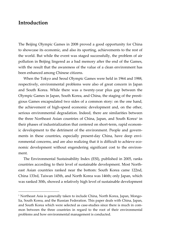# **Introduction**

 $\overline{a}$ 

The Beijing Olympic Games in 2008 proved a good opportunity for China to showcase its economic, and also its sporting, achievements to the rest of the world. But while the event was staged successfully, the problem of air pollution in Beijing lingered as a bad memory after the end of the Games, with the result that the awareness of the value of a clean environment has been enhanced among Chinese citizens.

When the Tokyo and Seoul Olympic Games were held in 1964 and 1988, respectively, environmental problems were also of great concern in Japan and South Korea. While there was a twenty-year plus gap between the Olympic Games in Japan, South Korea, and China, the staging of the prestigious Games encapsulated two sides of a common story: on the one hand, the achievement of high-speed economic development and, on the other, serious environmental degradation. Indeed, there are similarities between the three Northeast Asian countries of China, Japan, and South Korea<sup>1</sup> in their phases of industrialization that centered on short-term, rapid economic development to the detriment of the environment. People and governments in these countries, especially present-day China, have deep environmental concerns, and are also realizing that it is difficult to achieve economic development without engendering significant cost to the environment.

 The Environmental Sustainability Index (ESI), published in 2005, ranks countries according to their level of sustainable development. Most Northeast Asian countries ranked near the bottom: South Korea came 122nd, China 133rd, Taiwan 145th, and North Korea was 146th; only Japan, which was ranked 30th, showed a relatively high level of sustainable development

<sup>&</sup>lt;sup>1</sup> Northeast Asia is generally taken to include China, North Korea, Japan, Mongolia, South Korea, and the Russian Federation. This paper deals with China, Japan, and South Korea which were selected as case-studies since there is much in common between the three countries in regard to the root of their environmental problems and how environmental management is conducted.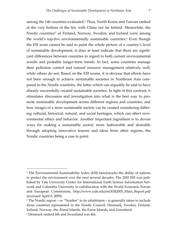among the 146 countries evaluated.2 Thus, North Korea and Taiwan ranked at the very bottom of the list, with China not far behind. Meanwhile, the Nordic countries<sup>3</sup> of Finland, Norway, Sweden, and Iceland were among the world's top-five environmentally sustainable countries.4 Even though the ESI score cannot be said to paint the whole picture of a country's level of sustainable development, it does at least indicate that there are significant differences between countries in regard to both current environmental results and probable longer-term trends. In fact, some countries manage their pollution control and natural resource management relatively well, while others do not. Based on the ESI scores, it is obvious that efforts have not been enough to achieve sustainable societies in Northeast Asia compared to the Nordic countries, the latter which can arguably be said to have already successfully created sustainable societies. In light of this contrast, it stimulates discussion and investigation into what is the best way to promote sustainable development across different regions and countries, and how images of a more sustainable society can be created considering differing cultural, historical, natural, and social heritages, which can affect environmental ethics and behavior. Another important ingredient is to devise ways for making a sustainable society more fashionable and desirable through adopting innovative lessons and ideas from other regions, the Nordic countries being a case in point.

<sup>2</sup> The Environmental Sustainability Index (ESI) benchmarks the ability of nations to protect the environment over the next several decades. The 2005 ESI was published by Yale University Center for International Earth Science Information Network and Columbia University in collaboration with the World Economic Forum and European Commission, http://www.yale.edu/esi/ESI2005\_Main\_Report.pdf (accessed April 8, 2009).

 $3$  The Nordic region – or "Norden" to its inhabitants – is generally taken to include those countries represented in the Nordic Council: Denmark, Sweden, Finland, Iceland, Norway, the Åland Islands, the Faroe Islands, and Greenland.

<sup>4</sup> Denmark ranked 6th and Swaziland was 4th.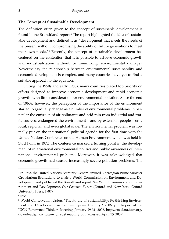#### **The Concept of Sustainable Development**

The definition often given to the concept of sustainable development is found in the Brundtland report.5 The report highlighted the idea of sustainable development and defined it as "development that meets the needs of the present without compromising the ability of future generations to meet their own needs."6 Recently, the concept of sustainable development has centered on the contention that it is possible to achieve economic growth and industrialization without, or minimizing, environmental damage.<sup>7</sup> Nevertheless, the relationship between environmental sustainability and economic development is complex, and many countries have yet to find a suitable approach to the equation.

 During the 1950s and early 1960s, many countries placed top priority on efforts designed to improve economic development and rapid economic growth, with little consideration for environmental pollution. Since the end of 1960s, however, the perception of the importance of the environment started to gradually change as a number of environmental problems, in particular the emission of air pollutants and acid rain from industrial and traffic sources, endangered the environment – and by extension people – on a local, regional, and even global scale. The environmental problem was formally put on the international political agenda for the first time with the United Nations Conference on the Human Environment, which was held in Stockholm in 1972. The conference marked a turning point in the development of international environmental politics and public awareness of international environmental problems. Moreover, it was acknowledged that economic growth had caused increasingly severe pollution problems. The

<sup>5</sup> In 1983, the United Nations Secretary-General invited Norwegian Prime Minister Gro Harlem Brundtland to chair a World Commission on Environment and Development and published the Brundtland report. See World Commission on Environment and Development, *Our Common Future* (Oxford and New York: Oxford University Press, 1987).

<sup>6</sup> Ibid.

<sup>7</sup> World Conservation Union, "The Future of Sustainability: Re-thinking Environment and Development in the Twenty-first Century," 2006, p.1, Report of the IUCN Renowned Thinkers Meeting, January 29-31, 2006, http://cmsdata.iucn.org/ downloads/iucn\_future\_of\_sustanability.pdf (accessed April 15, 2009).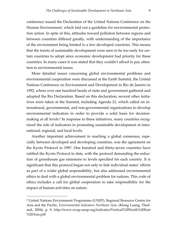conference issued the Declaration of the United Nations Conference on the Human Environment, which laid out a guideline for environmental protection action. In spite of this, attitudes toward pollution between regions and between countries differed greatly, with understanding of the importance of the environment being limited to a few developed countries. This means that the tenets of sustainable development were seen to be too early for certain countries to adopt since economic development had priority for these countries. In many cases it was stated that they couldn't afford to pay attention to environmental issues.

 More detailed issues concerning global environmental problems and environmental cooperation were discussed at the Earth Summit, the United Nations Conference on Environment and Development in Rio de Janeiro in 1992, where over one hundred heads of state and government gathered and adopted the Rio Declaration. Based on this declaration, several other initiatives were taken at the Summit, including Agenda 21, which called on international, governmental, and non-governmental organizations to develop environmental indicators in order to provide a solid basis for decisionmaking at all levels.<sup>8</sup> In response to these initiatives, many countries recognized the role of indicators in promoting sustainable development at international, regional, and local levels.

 Another important achievement in reaching a global consensus, especially between developed and developing countries, was the agreement on the Kyoto Protocol in 1997. One hundred and thirty-seven countries have ratified the Kyoto Protocol to date, with the protocol demanding the reduction of greenhouse gas emissions to levels specified for each country. It is significant that this protocol began not only to link individual states' efforts as part of a wider global responsibility, but also addressed environmental ethics to deal with a global environmental problem for nations. This code of ethics includes a call for global cooperation to take responsibility for the impact of human activities on nature.

<sup>8</sup> United Nations Environment Programme (UNEP), Regional Resource Centre for Asia and the Pacific*, Environmental Indicators Northeast Asia,* (Klong Luang, Thailand, 2004), p. 9, http://www.rrcap.unep.org/indicator/Vertical%20North%20East %20Asia.pdf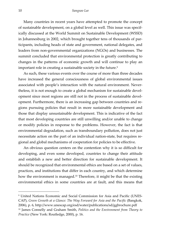Many countries in recent years have attempted to promote the concept of sustainable development, on a global level as well. This issue was specifically discussed at the World Summit on Sustainable Development (WSSD) in Johannesburg in 2002, which brought together tens of thousands of participants, including heads of state and government, national delegates, and leaders from non-governmental organizations (NGOs) and businesses. The summit concluded that environmental protection is greatly contributing to changes in the patterns of economic growth and will continue to play an important role in creating a sustainable society in the future.<sup>9</sup>

 As such, these various events over the course of more than three decades have increased the general consciousness of global environmental issues associated with people's interaction with the natural environment. Nevertheless, it is not enough to create a global mechanism for sustainable development since most regions are still not in the process of sustainable development. Furthermore, there is an increasing gap between countries and regions pursuing policies that result in more sustainable development and those that display unsustainable development. This is indicative of the fact that most developing countries are still unwilling and/or unable to change or modify policies in response to the problems. However, the fact is that environmental degradation, such as transboundary pollution, does not just necessitate action on the part of an individual nation-state, but requires regional and global mechanisms of cooperation for policies to be effective.

 An obvious question centers on the contention why it is so difficult for developing, and even some developed, countries to change their attitude and establish a new and better direction for sustainable development. It should be recognized that environmental ethics are based on a set of values, practices, and institutions that differ in each country, and which determine how the environment is managed.10 Therefore, it might be that the existing environmental ethics in some countries are at fault, and this means that

<sup>9</sup> United Nations Economic and Social Commission for Asia and Pacific (UNES-CAP), *Green Growth at a Glance: The Way Forward for Asia and the Pacific* (Bangkok, 2006), p. 6, http://www.unescap.org/esd/water/publications/sd/ggbrochure.pdf 10 James Connelly and Graham Smith, *Politics and the Environment from Theory to Practice* (New York: Routledge, 2000), p. 16.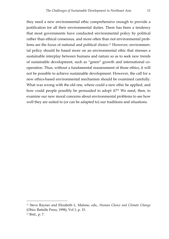they need a new environmental ethic comprehensive enough to provide a justification for all their environmental duties. There has been a tendency that most governments have conducted environmental policy by political rather than ethical consensus, and more often than not environmental problems are the focus of national and political choice.11 However, environmental policy should be based more on an environmental ethic that stresses a sustainable interplay between humans and nature so as to seek new trends of sustainable development, such as "green" growth and international cooperation. Thus, without a fundamental reassessment of those ethics, it will not be possible to achieve sustainable development. However, the call for a new ethics-based environmental mechanism should be examined carefully. What was wrong with the old one, where could a new ethic be applied, and how could people possibly be persuaded to adopt it?12 We need, then, to examine our new moral concerns about environmental problems to see how well they are suited to (or can be adapted to) our traditions and situations.

<sup>11</sup> Steve Rayner and Elizabeth L. Malone, eds., *Human Choice and Climate Change* (Ohio: Battelle Press, 1998), Vol 1, p. 15. 12 Ibid., p. 7.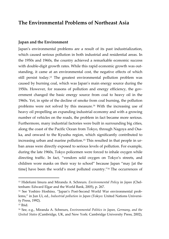# **The Environmental Problems of Northeast Asia**

#### **Japan and the Environment**

Japan's environmental problems are a result of its past industrialization, which caused serious pollution in both industrial and residential areas. In the 1950s and 1960s, the country achieved a remarkable economic success with double-digit growth rates. While this rapid economic growth was outstanding, it came at an environmental cost, the negative effects of which still persist today.13 The greatest environmental pollution problem was caused by burning coal, which was Japan's main energy source during the 1950s. However, for reasons of pollution and energy efficiency, the government changed the basic energy source from coal to heavy oil in the 1960s. Yet, in spite of the decline of smoke from coal burning, the pollution problems were not solved by this measure.14 With the increasing use of heavy oil propelling an expanding industrial economy and with a growing number of vehicles on the roads, the problem in fact became more serious. Furthermore, many industrial factories were built in surrounding big cities, along the coast of the Pacific Ocean from Tokyo, through Nagoya and Osaka, and onward to the Kyushu region, which significantly contributed to increasing urban and marine pollution.15 This resulted in that people in urban areas were directly exposed to serious levels of pollution. For example, during the late 1960s, Tokyo policemen were forced to inhale oxygen while directing traffic. In fact, "vendors sold oxygen on Tokyo's streets, and children wore masks on their way to school" because Japan "may [at the time] have been the world's most polluted country."16 The occurrences of

<sup>13</sup> Hidefumi Imura and Miranda A. Schreurs*, Environmental Policy* in *Japan* (Cheltenham: Edward Elgar and the World Bank, 2005), p. 267.

<sup>14</sup> See Yoshiro Hoshino, "Japan's Post-Second World War environmental problems," in Jun Ui, ed., *Industrial pollution in Japan* (Tokyo: United Nations University Press, 1992).

 $15$  Ibid.

<sup>16</sup> See, e.g., Miranda A. Schreurs, *Environmental Politics in Japan, Germany, and the United States* (Cambridge, UK, and New York: Cambridge University Press, 2002),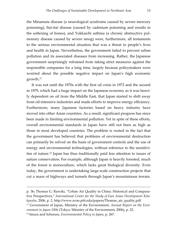the Minamata disease (a neurological syndrome caused by severe mercury poisoning), Itai-itai disease (caused by cadmium poisoning and results in the softening of bones), and Yokkaichi asthma (a chronic obstructive pulmonary disease caused by severe smog) were, furthermore, all testaments to the serious environmental situation that was a threat to people's lives and health in Japan. Nevertheless, the government failed to prevent urban pollution and its associated diseases from increasing. Rather, the Japanese government surprisingly refrained from taking strict measures against the responsible companies for a long time, largely because policymakers were worried about the possible negative impact on Japan's high economic growth.17

 It was not until the 1970s with the first oil crisis in 1973 and the second in 1979, which had a huge impact on the Japanese economy as it was heavily dependent on oil from the Middle East, that Japan started to shift away from oil-intensive industries and made efforts to improve energy efficiency. Furthermore, many Japanese factories based on heavy industry have moved into other Asian countries. As a result, significant progress has since been made in limiting environmental pollution. Yet in spite of these efforts, overall environmental standards in Japan have still not been as high as those in most developed countries. The problem is rooted in the fact that the government has believed that problems of environmental destruction can primarily be solved on the basis of government controls and the use of energy and environmental technologies, without reference to the sensitivities of nature.18 Japan has thus traditionally paid less attention to issues of nature conservation. For example, although Japan is heavily forested, much of the forest is monoculture, which lacks great biological diversity. Even today, the government is undertaking large-scale construction projects that cut a maze of highways and tunnels through Japan's mountainous terrain.

-

p. 36; Thomas G. Rawski, "Urban Air Quality in China: Historical and Comparative Perspectives," *International Center for the Study of East Asian Development Kitakyushu*, 2006, p. 2, http://www.econ.pitt.edu/papers/Thomas\_air\_quality.pdf 17 Government of Japan, Ministry of the Environment, *Annual Report on the Environment in Japan 2006* (Tokyo: Ministry of the Environment, 2006), p. 22. 18 Imura and Schreurs*, Environmental Policy in Japan,* p. 267.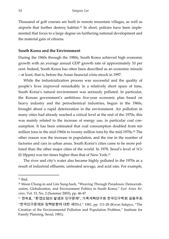Thousand of golf courses are built in remote mountain villages, as well as airports that further destroy habitat.<sup>19</sup> In short, policies have been implemented that focus to a large degree on furthering national development and the material gain of citizens.

#### **South Korea and the Environment**

During the 1960s through the 1980s, South Korea achieved high economic growth with an average annual GDP growth rate of approximately 10 per cent. Indeed, South Korea has often been described as an economic miracle – at least, that is, before the Asian financial crisis struck in 1997.

 While the industrialization process was successful and the quality of people's lives improved remarkably in a relatively short space of time, South Korea's natural environment was seriously polluted. In particular, the Korean government's ambitious five-year economic plan based on heavy industry and the petrochemical industries, begun in the 1960s, brought about a rapid deterioration in the environment. Air pollution in many cities had already reached a critical level at the end of the 1970s; this was mainly related to the increase of energy use, in particular coal consumption. It has been estimated that coal consumption doubled from ten million tons in the mid-1960s to twenty million tons by the mid-1970s.<sup>20</sup> The other reason was the increase in population, and the rise in the number of factories and cars in urban areas. South Korea's cities came to be more polluted than the other major cities of the world. In 1978, Seoul's level of SO2 (0.18ppm) was ten times higher than that of New York.21

 The river and city's water also became highly polluted in the 1970s as a result of industrial effluents, untreated sewage, and acid rain. For example,

 $19$  Ibid.

<sup>20</sup> Moon Chung-in and Lim Sung-hack, "Weaving Through Paradoxes: Democratization, Globalization, and Environment Politics in South Korea," *East Asian Review*, Vol. 15, No. 2 (Summer 2003), pp. 46-47.

<sup>21</sup> 권숙표, "환경오염의 발생과 인구문제", 가족계획연구회 한국인구학회 공동주최 "한국인구문제와 정책방향에 대한 세미나," 1981, pp. 111-28 (Kwon Sukpyo, "The Creation of the Environmental Pollution and Population Problem," Institute for Family Planning, Seoul, 1981).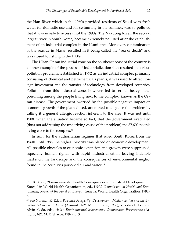the Han River which in the 1960s provided residents of Seoul with fresh water for domestic use and for swimming in the summer, was so polluted that it was unsafe to access until the 1990s. The Nakdong River, the second largest river in South Korea, became extremely polluted after the establishment of an industrial complex in the Kumi area. Moreover, contamination of the seaside in Masan resulted in it being called the "sea of death" and was closed to fishing in the 1980s.

 The Ulsan-Onsan industrial zone on the southeast coast of the country is another example of the process of industrialization that resulted in serious pollution problems. Established in 1972 as an industrial complex primarily consisting of chemical and petrochemicals plants, it was used to attract foreign investment and the transfer of technology from developed countries. Pollution from this industrial zone, however, led to serious heavy metal poisoning among the people living next to the complex, known as the Onsan disease. The government, worried by the possible negative impact on economic growth if the plant closed, attempted to disguise the problem by calling it a general allergic reaction inherent to the area. It was not until 1988, when the situation became so bad, that the government evacuated (thus not addressing the underlying cause of the problem) the 37,600 people living close to the complex.22

 In sum, for the authoritarian regimes that ruled South Korea from the 1960s until 1988, the highest priority was placed on economic development. All possible obstacles to economic expansion and growth were suppressed, especially human rights, with rapid industrialization leaving indelible marks on the landscape and the consequences of environmental neglect found in the country's poisoned air and water.23

<sup>22</sup> S. K. Yoon, "Environmental Health Consequences in Industrial Development in Korea," in World Health Organization, ed., *WHO Commission on Health and Environment, Report of the Panel on Energy* (Geneva: World Health Organization, 1992), p. 113.

<sup>23</sup> See Norman R. Eder, *Poisoned Prosperity: Development, Modernization and the Environment in South Korea* (Armonk, NY: M. E. Sharpe, 1996); Yokshiu F. Lee and Alvin Y. So, eds., *Asia's Environmental Movements: Comparative Perspectives* (Armonk, NY: M. E. Sharpe, 1999), p. 3.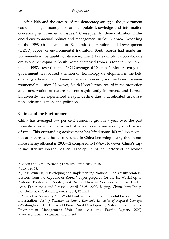After 1988 and the success of the democracy struggle, the government could no longer monopolize or manipulate knowledge and information concerning environmental issues.24 Consequently, democratization influenced environmental politics and management in South Korea. According to the 1998 Organization of Economic Cooperation and Development (OECD) report of environmental indicators, South Korea had made improvements in the quality of its environment. For example, carbon dioxide emissions per capita in South Korea decreased from 8.3 tons in 1995 to 7.8 tons in 1997, lower than the OECD average of 10.9 tons.25 More recently, the government has focused attention on technology development in the field of energy efficiency and domestic renewable energy sources to reduce environmental pollution. However, South Korea's track record in the protection and conservation of nature has not significantly improved, and Korea's biodiversity has experienced a rapid decline due to accelerated urbanization, industrialization, and pollution.26

#### **China and the Environment**

China has averaged 8–9 per cent economic growth a year over the past three decades and achieved industrialization in a remarkably short period of time. This outstanding achievement has lifted some 400 million people out of poverty and has also resulted in China becoming nearly three times more energy efficient in 2000–02 compared to 1978.27 However, China's rapid industrialization that has lent it the epithet of the "factory of the world"

<sup>&</sup>lt;sup>24</sup> Moon and Lim, "Weaving Through Paradoxes," p. 57.

<sup>25</sup> Ibid., p. 48.

<sup>26</sup> Jung Kyun Na, "Developing and Implementing National Biodiversity Strategy: Lessons from the Republic of Korea," paper prepared for the 1st Workshop on National Biodiversity Strategies & Action Plans in Northeast and East Central Asia, Experiences and Lessons, April 26-28, 2000, Beijing, China, http://bpspneca.brim.ac.cn/calendars/workshop-1/12.html

<sup>&</sup>lt;sup>27</sup> "Executive Summary," in World Bank and State Environmental Protection Administration, *Cost of Pollution in China: Economic Estimates of Physical Damages* (Washington, D.C.: The World Bank, Rural Development, Natural Resources and Environment Management Unit East Asia and Pacific Region, 2007), www.worldbank.org/eapenvironment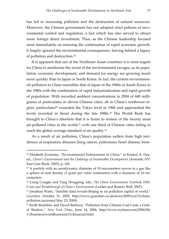has led to increasing pollution and the destruction of natural resources. Moreover, the Chinese government has not adopted strict policies of environmental control and regulation, a fact which has also served to attract more foreign direct investment. Thus, as the Chinese leadership focused most immediately on ensuring the continuation of rapid economic growth, it largely ignored the environmental consequences, leaving behind a legacy of pollution and destruction.28

 It is apparent that out of the Northeast Asian countries it is most urgent for China to ameliorate the worst of the environmental ravages, as its population, economic development, and demand for energy are growing much more quickly than in Japan or South Korea. In fact, the current environmental pollution in China resembles that of Japan in the 1960s or South Korea in the 1980s with the combination of rapid industrialization and rapid growth of population. With recorded ambient concentrations in 2004 of 440 milligrams of particulates in eleven Chinese cities, all in China's northwest region, particulates<sup>29</sup> exceeded the Tokyo level in 1968 and approached the levels recorded in Seoul during the late 1980s.30 The World Bank has brought to China's attention that it is home to sixteen of the twenty most air-polluted cities in the world, $31$  with one third of Chinese cities failing to reach the global average standard of air quality.32

 As a result of air pollution, China's population suffers from high incidences of respiratory diseases (lung cancer, pulmonary heart disease, bron-

<sup>&</sup>lt;sup>28</sup> Elisabeth Economy, "Environmental Enforcement in China," in Kristen A. Day, ed., *China's Environment and the Challenge of Sustainable Development* (Armonk; NY: East Gate Book, 2005), p. 102.

 $29$  A particle with an aerodynamic diameter of 10 micrometers moves in a gas like a sphere of unit density (1 gram per cubic centimeter) with a diameter of 10 micrometers.

<sup>30</sup> Liang Congjie and Yang Dongping, eds., *The China Environment Yearbook 2005: Crisis and Breakthrough of China's Environment* (Leiden and Boston: Brill, 2007).

<sup>&</sup>lt;sup>31</sup> Jonathan Watts, "Satellite data reveals Beijing as air pollution capital of world," *Guardian*, October 31, 2005, http://www.guardian.co.uk/news/2005/oct/31/china. pollution (accessed May 23, 2009).

<sup>&</sup>lt;sup>32</sup> Keith Bradsher and David Barboza, "Pollution from Chinese Coal Casts a Global Shadow," *New York Times*, June 14, 2006, http://www.nytimes.com/2006/06/ 11/business/worldbusiness/11chinacoal.html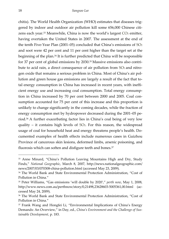chitis). The World Health Organization (WHO) estimates that diseases triggered by indoor and outdoor air pollution kill some 656,000 Chinese citizens each year.<sup>33</sup> Meanwhile, China is now the world's largest  $CO<sub>2</sub>$  emitter, having overtaken the United States in 2007. The assessment at the end of the tenth Five-Year Plan (2001–05) concluded that China's emissions of SO2 and soot were 42 per cent and 11 per cent higher than the target set at the beginning of the plan.34 It is further predicted that China will be responsible for 37 per cent of global emissions by 2030.35 Massive emissions also contribute to acid rain, a direct consequence of air pollution from SO<sub>2</sub> and nitrogen oxide that remains a serious problem in China. Most of China's air pollution and green house gas emissions are largely a result of the fact that total energy consumption in China has increased in recent years, with inefficient energy use and increasing coal consumption. Total energy consumption in China increased by 70 per cent between 2000 and 2005. Coal consumption accounted for 75 per cent of this increase and this proportion is unlikely to change significantly in the coming decades, while the fraction of energy consumption met by hydropower decreased during the 2001–05 period.36 A further exacerbating factor lies in China's coal being of very low quality – it contains high levels of  $SO<sub>2</sub>$ . For this reason, the widespread usage of coal for household heat and energy threatens people's health. Documented examples of health effects include numerous cases in Guizhou Province of cancerous skin lesions, deformed limbs, arsenic poisoning, and fluorosis which can soften and disfigure teeth and bones.<sup>37</sup>

<sup>&</sup>lt;sup>33</sup> Anne Minard, "China's Pollution Leaving Mountains High and Dry, Study Finds," *National Geographic*, March 8, 2007, http://news.nationalgeographic.com/ news/2007/03/070308-china-pollution.html (accessed May 23, 2009).

<sup>34</sup> The World Bank and State Environmental Protection Administration, "Cost of Pollution in China."

<sup>35</sup> Peter Williams, "Gas emissions 'will double by 2020'," *perth now*, May 1, 2008, http://www.news.com.au/perthnow/story/0,21498,23628603-5005361,00.html (accessed May 24, 2009).

<sup>36</sup> The World Bank and State Environmental Protection Administration, "Cost of Pollution in China."

<sup>37</sup> Frank Wang and Hongfei Li, "Environmental Implications of China's Energy Demands: An Overview," in Day, ed., *China's Environment and the Challenge of Sustainable Development,* p. 183.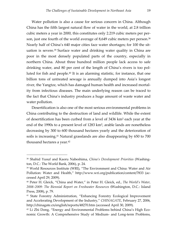Water pollution is also a cause for serious concern in China. Although China has the fifth largest natural flow of water in the world, at 2.8 trillion cubic meters a year in 2000, this constitutes only 2.219 cubic meters per person, just one fourth of the world average of 8,649 cubic meters per person.<sup>38</sup> Nearly half of China's 640 major cities face water shortages; for 100 the situation is severe.39 Surface water and drinking water quality in China are poor in the most densely populated parts of the country, especially in northern China. About three hundred million people lack access to safe drinking water, and 80 per cent of the length of China's rivers is too polluted for fish and people.40 It is an alarming statistic, for instance, that one billion tons of untreated sewage is annually dumped into Asia's longest river, the Yangtze, which has damaged human health and increased mortality from infectious diseases. The main underlying reason can be traced to the fact that China's industry produces a huge amount of waste water and water pollution.

 Desertification is also one of the most serious environmental problems in China contributing to the destruction of land and wildlife. While the extent of desertification has been curbed from a level of 3436 km² each year at the end of the 1990s to a present level of 1283 km², arable lands are nonetheless decreasing by 300 to 600 thousand hectares yearly and the deterioration of soils is increasing.41 Natural grasslands are also disappearing by 650 to 700 thousand hectares a year.42

<sup>38</sup> Shahid Yusuf and Kaoru Nabeshima, *China's Development Priorities* (Washington, D.C.: The World Bank, 2006), p. 24.

<sup>39</sup> World Resources Institute (WRI), "The Environment and China: Water and Air Pollution: Water and Health," http://www.wri.org/publication/content/7833 (accessed April 29, 2009).

<sup>40</sup> Peter H. Gleick, "China and Water," in Peter H. Gleick, ed., *The World's Water, 2008–2009: The Biennial Report on Freshwater Resources* **(**Washington, D.C.: Island Press, 2008), p. 79.

<sup>&</sup>lt;sup>41</sup> State Forestry Administration, "Enhancing Forestry Ecological Improvement and Accelerating Development of the Industry," *CHINAGATE*, February 27, 2006, http://chinagate.cn/english/reports/48270.htm (accessed April 30, 2009).

<sup>42</sup> Li Zhi Dong, "Energy and Environmental Problems behind China's High Economic Growth: A Comprehensive Study of Medium- and Long-term Problems,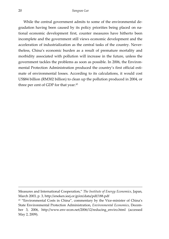While the central government admits to some of the environmental degradation having been caused by its policy priorities being placed on national economic development first, counter measures have hitherto been incomplete and the government still views economic development and the acceleration of industrialization as the central tasks of the country. Nevertheless, China's economic burden as a result of premature mortality and morbidity associated with pollution will increase in the future, unless the government tackles the problems as soon as possible. In 2006, the Environmental Protection Administration produced the country's first official estimate of environmental losses. According to its calculations, it would cost US\$84 billion (RM302 billion) to clean up the pollution produced in 2004, or three per cent of GDP for that year.<sup>43</sup>

-

Measures and International Cooperation," *The Institute of Energy Economics*, Japan, March 2003, p. 3, http://eneken.ieej.or.jp/en/data/pdf/188.pdf

<sup>&</sup>lt;sup>43</sup> "Environmental Costs in China", commentary by the Vice-minister of China's State Environmental Protection Administration, *Environmental Economics*, December 3, 2006, http://www.env-econ.net/2006/12/reducing\_enviro.html (accessed May 2, 2009).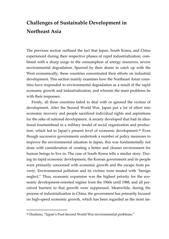# **Challenges of Sustainable Development in Northeast Asia**

The previous section outlined the fact that Japan, South Korea, and China experienced during their respective phases of rapid industrialization, combined with a sharp surge in the consumption of energy resources, severe environmental degradation. Spurred by their desire to catch up with the West economically, these countries concentrated their efforts on industrial development. This section mainly examines how the Northeast Asian countries have responded to environmental degradation as a result of the rapid economic growth and industrialization, and wherein the main problems lie with their responses.

 Firstly, all three countries failed to deal with or ignored the victims of development. After the Second World War, Japan put a lot of effort into economic recovery and people sacrificed individual rights and aspirations for the sake of national development. A society developed that had its ideational fountainhead in a military model of social organization and production, which led to Japan's present level of economic development.44 Even though successive governments undertook a number of policy measures to improve the environmental situation in Japan, this was fundamentally not done with consideration of creating a better and cleaner environment for human beings to live in. The case of South Korea tells a similar story. During its rapid economic development, the Korean government and its people were primarily concerned with economic growth and the escape from poverty. Environmental pollution and its victims were treated with "benign neglect." Thus, economic expansion was the highest priority for the economic development-oriented regime from the 1960s until 1988, and all perceived barriers to that growth were suppressed. Meanwhile, during the process of industrialization in China, the government has primarily focused on high-speed economic growth, which has been regarded as the most im-

<sup>44</sup> Hoshino, "Japan's Post-Second World War environmental problems."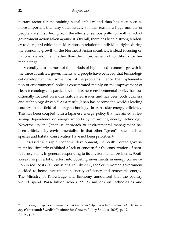portant factor for maintaining social stability and thus has been seen as more important than any other issues. For this reason, a huge number of people are still suffering from the effects of serious pollution with a lack of government action taken against it. Overall, there has been a strong tendency to disregard ethical considerations in relation to individual rights during the economic growth of the Northeast Asian countries, instead focusing on national development rather than the improvement of conditions for human beings.

 Secondly, during most of the periods of high-speed economic growth in the three countries, governments and people have believed that technological development will solve most of the problems. Hence, the implementation of environmental policies concentrated mainly on the improvement of clean technology. In particular, the Japanese environmental policy has traditionally focused on industrial-related issues and has been both business and technology driven.45 As a result, Japan has become the world's leading country in the field of energy technology, in particular energy efficiency. This has been coupled with a Japanese energy policy that has aimed at lessening dependence on energy imports by improving energy technology. Nevertheless, the Japanese approach to environmental management has been criticized by environmentalists in that other "green" issues such as species and habitat conservation have not been priorities.<sup>46</sup>

 Obsessed with rapid economic development, the South Korean government has similarly exhibited a lack of concern for the conservation of natural ecosystems. In general, responding to its environmental problems, South Korea has put a lot of effort into boosting investments in energy conservation to reduce its CO<sub>2</sub> emissions. In July 2008, the South Korean government decided to boost investment in energy efficiency and renewable energy. The Ministry of Knowledge and Economy announced that the country would spend 194.4 billion won (US\$193 million) on technologies and

<sup>45</sup> Elin Vinger, *Japanese Environmental Policy and Approach to Environmental Technology* (Östersund: Swedish Institute for Growth Policy Studies, 2008), p. 19. 46 Ibid, p. 7.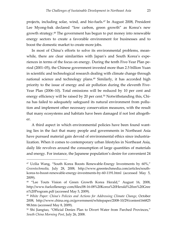projects, including solar, wind, and bio-fuels.47 In August 2008, President Lee Myong-bak declared "low carbon, green growth" as Korea's new growth strategy.48 The government has begun to put money into renewable energy sectors to create a favorable environment for businesses and to boost the domestic market to create more jobs.

 In most of China's efforts to solve its environmental problems, meanwhile, there are clear similarities with Japan's and South Korea's experiences in terms of the focus on energy. During the tenth Five-Year Plan period (2001–05), the Chinese government invested more than 2.5 billion Yuan in scientific and technological research dealing with climate change through national science and technology plans.<sup>49</sup> Similarly, it has accorded high priority to the issue of energy and air pollution during the eleventh Five-Year Plan (2006–10). Total emissions will be reduced by 10 per cent and energy efficiency will be raised by 20 per cent.<sup>50</sup> Notwithstanding this, China has failed to adequately safeguard its natural environment from pollution and implement other necessary conservation measures, with the result that many ecosystems and habitats have been damaged if not lost altogether.

 A third aspect in which environmental policies have been found wanting lies in the fact that many people and governments in Northeast Asia have pursued material gain devoid of environmental ethics since industrialization. When it comes to contemporary urban lifestyles in Northeast Asia, daily life revolves around the consumption of large quantities of materials and energy. For instance, the Japanese population's desire for convenient 24

<sup>47</sup> Ucilia Wang, "South Korea Boosts Renewable-Energy Investments by 60%," *Greentechmedia,* July 28, 2008*,* http://www.greentechmedia.com/articles/southkorea-to-boost-renewable-energy-investments-by-60-1191.html (accessed May 5, 2009).

<sup>&</sup>lt;sup>48</sup> "Lee Touts Vision of Green Growth Korea Herald," August 16, 2008, http://www.fuelcellenergy.com/files/08-16-08%20Korea%20Herald%20on%20Gree n%20Program.pdf (accessed May 5, 2009).

<sup>49</sup> *White Paper: China's Policies and Actions for Addressing Climate Change*, October 2008, http://www.china.org.cn/government/whitepaper/2008-10/29/content166825 98.htm (accessed May 8, 2009).

<sup>50</sup> Shi Jiangtao, "Official Denies Plan to Divert Water from Parched Provinces," *South China Morning Post*, July 26, 2008.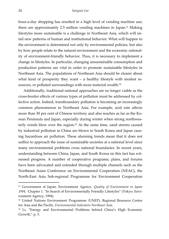hour-a-day shopping has resulted in a high level of vending machine use; there are approximately 2.5 million vending machines in Japan.51 Making lifestyles more sustainable is a challenge in Northeast Asia, which will entail new patterns of human and institutional behavior. What will happen to the environment is determined not only by environmental policies, but also by how people relate to the natural environment and the economic rationality of environment-friendly behavior. Thus, it is necessary to implement a change in lifestyles. In particular, changing unsustainable consumption and production patterns are vital in order to promote sustainable lifestyles in Northeast Asia. The populations of Northeast Asia should be clearer about what kind of prosperity they want – a healthy lifestyle with modest resources, or polluted surroundings with more material wealth.<sup>52</sup>

 Additionally, traditional national approaches are no longer viable as the cross-border effects of various types of pollution must be addressed by collective action. Indeed, transboundary pollution is becoming an increasingly common phenomenon in Northeast Asia. For example, acid rain affects more than 30 per cent of Chinese territory and also reaches as far as the Korean Peninsula and Japan, especially during winter when strong northwesterly winds blow over the region.<sup>53</sup> At the same time, sand storms caused by industrial pollution in China are blown to South Korea and Japan causing hazardous air pollution. These alarming trends mean that it does not suffice to approach the issue of sustainable societies at a national level since many environmental problems cross national boundaries. In recent years, understanding between China, Japan, and South Korea on this fact has witnessed progress. A number of cooperative programs, plans, and forums have been advocated and extended through multiple channels such as the Northeast Asian Conference on Environmental Cooperation (NEAC), the North-East Asia Sub-regional Programme for Environment Cooperation

<sup>51</sup> Government of Japan, Environment Agency, *Quality of Environment in Japan 1994,* Chapter 1. "In Search of Environmentally Friendly Lifestyles" (Tokyo: Environment Agency, 1994).

<sup>52</sup> United Nations Environment Programme *(*UNEP), Regional Resource Centre for Asia and the Pacific, *Environmental Indicators Northeast Asia.* 

<sup>53</sup> Li, "Energy and Environmental Problems behind China's High Economic Growth," p. 3.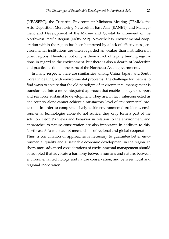(NEASPEC), the Tripartite Environment Ministers Meeting (TEMM), the Acid Deposition Monitoring Network in East Asia (EANET), and Management and Development of the Marine and Coastal Environment of the Northwest Pacific Region (NOWPAP). Nevertheless, environmental cooperation within the region has been hampered by a lack of effectiveness; environmental institutions are often regarded as weaker than institutions in other regions. Therefore, not only is there a lack of legally binding regulations in regard to the environment, but there is also a dearth of leadership and practical action on the parts of the Northeast Asian governments.

 In many respects, there are similarities among China, Japan, and South Korea in dealing with environmental problems. The challenge for them is to find ways to ensure that the old paradigm of environmental management is transformed into a more integrated approach that enables policy to support and reinforce sustainable development. They are, in fact, interconnected as one country alone cannot achieve a satisfactory level of environmental protection. In order to comprehensively tackle environmental problems, environmental technologies alone do not suffice; they only form a part of the solution. People's views and behavior in relation to the environment and approaches to nature conservation are also important. In addition to this, Northeast Asia must adopt mechanisms of regional and global cooperation. Thus, a combination of approaches is necessary to guarantee better environmental quality and sustainable economic development in the region. In short, more advanced considerations of environmental management should be adopted that advocate a harmony between humans and nature, between environmental technology and nature conservation, and between local and regional cooperation.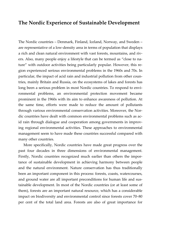# **The Nordic Experience of Sustainable Development**

The Nordic countries – Denmark, Finland, Iceland, Norway, and Sweden – are representative of a low-density area in terms of population that displays a rich and clean natural environment with vast forests, mountains, and rivers. Also, many people enjoy a lifestyle that can be termed as "close to nature" with outdoor activities being particularly popular. However, this region experienced serious environmental problems in the 1960s and 70s. In particular, the impact of acid rain and industrial pollution from other countries, mainly Britain and Russia, on the ecosystems of lakes and forests has long been a serious problem in most Nordic countries. To respond to environmental problems, an environmental protection movement became prominent in the 1960s with its aim to enhance awareness of pollution. At the same time, efforts were made to reduce the amount of pollutants through various environmental conservation activities. Moreover, the Nordic countries have dealt with common environmental problems such as acid rain through dialogue and cooperation among governments in improving regional environmental activities. These approaches to environmental management seem to have made these countries successful compared with many other countries.

 More specifically, Nordic countries have made great progress over the past four decades in three dimensions of environmental management. Firstly, Nordic countries recognized much earlier than others the importance of sustainable development in achieving harmony between people and the natural environment. Nature conservation has thus traditionally been an important component in this process: forests, coasts, watercourses, and ground water are all important preconditions for human life and sustainable development. In most of the Nordic countries (or at least some of them), forests are an important natural resource, which has a considerable impact on biodiversity and environmental control since forests cover 70–80 per cent of the total land area. Forests are also of great importance for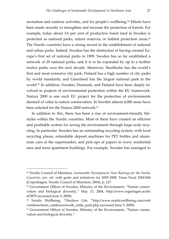recreation and outdoor activities, and for people's wellbeing.54 Efforts have been made recently to strengthen and increase the protection of forests. For example, today about 3.6 per cent of productive forest land in Sweden is protected as national parks, nature reserves, or habitat protection areas.55 The Nordic countries have a strong record in the establishment of national and urban parks. Indeed, Sweden has the distinction of having created Europe's first set of national parks in 1909. Sweden has so far established a network of 29 national parks, and it is to be expanded by up to a further twelve parks over the next decade. Moreover, Stockholm has the world's first and most extensive city park; Finland has a high number of city parks by world standards; and Greenland has the largest national park in the world.<sup>56</sup> In addition, Sweden, Denmark, and Finland have been deeply involved in projects of environmental protection within the EU framework. Natura 2000 is one such EU project for the protection of environments deemed of value to nature conservation. In Sweden almost 4,000 areas have been selected for the Natura 2000 network.57

 In addition to this, there has been a rise of environment-friendly lifestyles within the Nordic countries. Most of them have created an efficient and profitable system for saving the environment through large-scale recycling. In particular, Sweden has an outstanding recycling system, with local recycling places, refundable deposit machines for PET bottles and aluminum cans at the supermarket, and pick-ups of papers in every residential area and most apartment buildings. For example, Sweden has managed to

<sup>54</sup> Nordic Council of Ministers, *Sustainable Development: New Bearings for the Nordic Countries,* rev. ed. with goals and initiatives for 2005-2008. Tema Nord 2004:568 (Copenhagen: Nordic Council of Ministers, 2004), p. 127.

<sup>55</sup> Government Offices of Sweden, Ministry of the Environment, "Nature conservation and biological diversity," May 13, 2004, http://www.regeringen.se/sb/ d/3879 (accessed June 3, 2009).

<sup>56</sup> Nordic Wellbeing, "Outdoor Life, "http://www.nordicwellbeing.com/web /outdoor/more\_outdoors/awalk\_inthe\_park.php (accessed June 5, 2009).

<sup>57</sup> Government Offices of Sweden, Ministry of the Environment, "Nature conservation and biological diversity."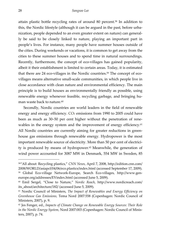attain plastic bottle recycling rates of around 80 percent.58 In addition to this, the Nordic lifestyle (although it can be argued in the past, before urbanization, people depended to an even greater extent on nature) can generally be said to be closely linked to nature, playing an important part in people's lives. For instance, many people have summer houses outside of the cities. During weekends or vacations, it is common to get away from the cities to these summer houses and to spend time in natural surroundings. Recently, furthermore, the concept of eco-villages has gained popularity, albeit it their establishment is limited to certain areas. Today, it is estimated that there are 24 eco-villages in the Nordic countries.59 The concept of ecovillages means alternative small-scale communities, in which people live in close accordance with clean nature and environmental efficiency. The main principle is to build houses as environmentally friendly as possible, using renewable energy whenever feasible, recycling garbage, and bringing human waste back to nature.<sup>60</sup>

 Secondly, Nordic countries are world leaders in the field of renewable energy and energy efficiency. CO<sub>2</sub> emissions from 1990 to 2005 could have been as much as 30–50 per cent higher without the penetration of renewables in the energy system and the improvement of energy efficiency.<sup>61</sup> All Nordic countries are currently aiming for greater reductions in greenhouse gas emissions through renewable energy. Hydropower is the most important renewable source of electricity. More than 50 per cent of electricity is produced by means of hydropower.<sup>62</sup> Meanwhile, the generation of wind power accounted for 3087 MW in Denmark, 554 MW in Sweden, 85

<sup>58&</sup>quot;All about: Recycling plastics," *CNN News*, April 7, 2008, http://edition.cnn.com/ 2008/WORLD/asiapcf/04/06/eco.plastics/index.html (accessed September 17, 2009). 59 Global Eco-village Network-Europe, Search Eco-villages, http://www.geneurope.org/addresses/EVindex.html (accessed June 5, 2009).

<sup>60</sup> Emil Sergel, "Close to Nature," *Nordic Reach*, http://www.nordicreach.com/ its\_about/architecture/182/ (accessed June 5, 2009).

<sup>61</sup> Nordic Council of Ministers, *The Impact of Renewables and Energy Efficiency on Greenhouse Gas Emissions,* Tema Nord 2007:558 (Copenhagen: Nordic Council of Ministers, 2007), p. 9.

<sup>62</sup> Jes Fenger, ed., *Impacts of Climate Change on Renewable Energy Sources: Their Role in the Nordic Energy System,* Nord 2007:003 (Copenhagen: Nordic Council of Ministers, 2007), p. 74.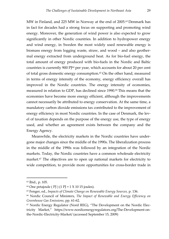MW in Finland, and 225 MW in Norway at the end of 2005.<sup>63</sup> Denmark has in fact for decades had a strong focus on supporting and promoting wind energy. Moreover, the generation of wind power is also expected to grow significantly in other Nordic countries. In addition to hydropower energy and wind energy, in Sweden the most widely used renewable energy is biomass energy from logging waste, straw, and wood – and also geothermal energy extracted from underground heat. As for bio-fuel energy, the total amount of energy produced with bio-fuels in the Nordic and Baltic countries is currently 900 PJ64 per year, which accounts for about 20 per cent of total gross domestic energy consumption.<sup>65</sup> On the other hand, measured in terms of energy intensity of the economy, energy efficiency overall has improved in the Nordic countries. The energy intensity of economies, measured in relation to GDP, has declined since 1990.<sup>66</sup> This means that the economies have become more energy efficient, although the improvements cannot necessarily be attributed to energy conservation. At the same time, a mandatory carbon dioxide emissions tax contributed to the improvement of energy efficiency in most Nordic countries. In the case of Denmark, the level of taxation depends on the purpose of the energy use, the type of energy used, and whether an agreement exists between the company and the Energy Agency.

 Meanwhile, the electricity markets in the Nordic countries have undergone major changes since the middle of the 1990s. The liberalization process in the middle of the 1990s was followed by an integration of the Nordic markets. Today, the Nordic countries have a common wholesale electricity market.67 The objectives are to open up national markets for electricity to wide competition, to provide more opportunities for cross-border trade in

<sup>63</sup> Ibid., p. 105.

 $64$  One petajoule (PJ) (1 PJ = 1 X 10 15 joules).

<sup>65</sup> Fenger, ed., *Impacts of Climate Change on Renewable Energy Sources,* p. 136.

<sup>66</sup> Nordic Council of Ministers, *The Impact of Renewable and Energy Efficiency on Greenhouse Gas Emissions,* pp. 61-62.

<sup>67</sup> Nordic Energy Regulator (Nord REG), "The Development on the Nordic Electricity Market," https://www.nordicenergyregulators.org/The-Development-onthe-Nordic-Electricity-Market/ (accessed September 15, 2009)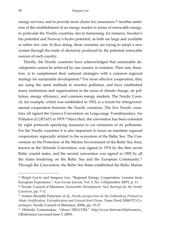energy services, and to provide more choice for consumers.<sup>68</sup> Another ambition of the establishment of an energy market in terms of renewable energy, in particular the Nordic countries, lies in harnessing, for instance, Sweden's bio potential and Norway's hydro potential, as both are large and available at rather low cost. In thus doing, these countries are trying to adopt a new system through the trade of electricity produced by the potential renewable sources of each country.

 Thirdly, the Nordic countries have acknowledged that sustainable development cannot be achieved by one country in isolation. Their aim, therefore, is to complement their national strategies with a common regional strategy for sustainable development.<sup>69</sup> For more effective cooperation, they are using the same methods to monitor pollution, and have established many institutions and organizations in the areas of climate change, air pollution, energy efficiency, and common energy markets. The Nordic Council, for example, which was established in 1952, is a forum for intergovernmental cooperation between the Nordic countries. The five Nordic countries all signed the Geneva Convention on Long-range Transboundary Air Pollution (CLRTAP) in 1979.70 Since then, the convention has been extended by eight protocols specifying measures to cut emissions of air pollutants. For the Nordic countries it is also important to focus on maritime regional cooperation, especially related to the ecosystem of the Baltic Sea. The Convention on the Protection of the Marine Environment of the Baltic Sea Area, known as the Helsinki Convention, was signed in 1974 by the then seven Baltic coastal states, and the second convention was signed in 1992 by all the states bordering on the Baltic Sea and the European Community.71 Through the Convention, the Baltic Sea States established the Baltic Marine

<sup>68</sup> Brigid Gavin and Sangsoo Lee, "Regional Energy Cooperation: Lessons from European Experience," *Asia-Europe Journal,* Vol. 5, No. 3 (September 2007), p. 11.

<sup>69</sup> Nordic Council of Ministers, *Sustainable Development: New Bearings for the Nordic Countries,* pp. 7-11.

<sup>70</sup> Anders Brandth Pedersen, et al., *Nordic perspectives on the Gothenburg Protocol to Abate Acidification, Eutrophication and Ground-level Ozone,* Tema Nord 2008:572 *(Copenhagen:* Nordic Council of Ministers, 2008), pp. 15-17.

<sup>71</sup> Helsinki Commission, "About HELCOM," http://www.helcom.fi/helcom/en\_ GB/aboutus/ (accessed June 5, 2009).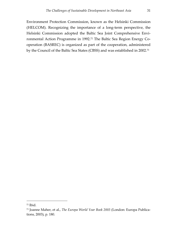Environment Protection Commission, known as the Helsinki Commission (HELCOM). Recognizing the importance of a long-term perspective, the Helsinki Commission adopted the Baltic Sea Joint Comprehensive Environmental Action Programme in 1992.72 The Baltic Sea Region Energy Cooperation (BASREC) is organized as part of the cooperation, administered by the Council of the Baltic Sea States (CBSS) and was established in 2002.73

<sup>72</sup> Ibid.

<sup>73</sup> Joanne Maher, et al., *The Europa World Year Book 2003* (London: Europa Publications, 2003), p. 180.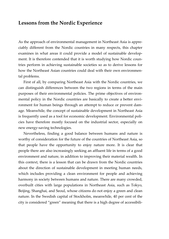# **Lessons from the Nordic Experience**

As the approach of environmental management in Northeast Asia is appreciably different from the Nordic countries in many respects, this chapter examines in what areas it could provide a model of sustainable development. It is therefore contended that it is worth studying how Nordic countries perform in achieving sustainable societies so as to derive lessons for how the Northeast Asian countries could deal with their own environmental problems.

 First of all, by comparing Northeast Asia with the Nordic countries, we can distinguish differences between the two regions in terms of the main purposes of their environmental policies. The prime objectives of environmental policy in the Nordic countries are basically to create a better environment for human beings through an attempt to reduce or prevent damage. Meanwhile, the concept of sustainable development in Northeast Asia is frequently used as a tool for economic development. Environmental policies have therefore mostly focused on the industrial sector, especially on new energy-saving technologies.

 Nevertheless, finding a good balance between humans and nature is worthy of consideration for the future of the countries of Northeast Asia, so that people have the opportunity to enjoy nature more. It is clear that people there are also increasingly seeking an affluent life in terms of a good environment and nature, in addition to improving their material wealth. In this context, there is a lesson that can be drawn from the Nordic countries about the direction of sustainable development in meeting human needs, which includes providing a clean environment for people and achieving harmony in society between humans and nature. There are many crowded, overbuilt cities with large populations in Northeast Asia, such as Tokyo, Beijing, Shanghai, and Seoul, whose citizens do not enjoy a green and clean nature. In the Swedish capital of Stockholm, meanwhile, 40 per cent of the city is considered "green" meaning that there is a high degree of accessibili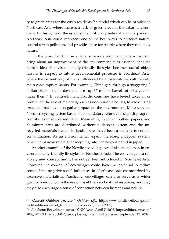ty to green areas for the city's residents,74 a model which can be of value to Northeast Asia where there is a lack of green areas in the urban environment. In this context, the establishment of many national and city parks in Northeast Asia could represent one of the best ways to preserve nature, control urban pollution, and provide space for people where they can enjoy nature.

 On the other hand, in order to ensure a development pattern that will bring about an improvement of the environment, it is essential that the Nordic idea of environmentally-friendly lifestyles becomes useful object lessons in respect to future developmental processes in Northeast Asia, where the current way of life is influenced by a material-first culture with mass consumption habits. For example, China gets through a staggering 3 billion plastic bags a day; and uses up 37 million barrels of oil a year to make them.75 In contrast, many Nordic countries have levied taxes on or prohibited the sale of materials, such as non-reusable bottles, to avoid using products that have a negative impact on the environment. Moreover, the Nordic recycling system based on a mandatory refundable deposit program contributes to source reduction. Meanwhile, in Japan, bottles, papers, and aluminum cans are distributed without a deposit system and the unrecycled materials treated in landfill sites have been a main factor of soil contamination. As an environmental aspect, therefore, a deposit system, which helps achieve a higher recycling rate, can be considered in Japan.

 Another example of the Nordic eco-village could also be a lesson in environmentally-friendly lifestyles for Northeast Asia. The eco-village is a relatively new concept and it has not yet been introduced in Northeast Asia. However, the concept of eco-villages could have the potential to reduce some of the negative social influences in Northeast Asia characterized by excessive materialism. Practically, eco-villages can also serve as a wider goal for a reduction in the use of fossil fuels and natural resources, and they may also encourage a sense of connection between humans and nature.

<sup>74 &</sup>quot;Current Outdoor Feature," *Outdoor Life*, http://www.nordicwellbeing.com/ web/outdoor/current\_feature.php (accessed June 3, 2009).

<sup>75 &</sup>quot;All about: Recycling plastics," *CNN News*, April 7, 2008, http://edition.cnn.com/ 2008/WORLD/asiapcf/04/06/eco.plastics/index.html (accessed September 17, 2009).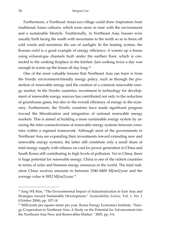Furthermore, a Northeast Asian eco-village could draw inspiration from traditional Asian cultures, which were more in tune with the environment and a sustainable lifestyle. Traditionally, in Northeast Asia, houses were usually built facing the south with mountains to the north so as to fence off cold winds and maximize the use of sunlight. In the heating system, the Korean *ondol* is a good example of energy efficiency: it warms up a house using exhaust-gas channels built under the earthen floor, which is connected to the cooking fireplace in the kitchen. Just cooking twice a day was enough to warm up the house all day long.<sup>76</sup>

 One of the most valuable lessons that Northeast Asia can learn is from the Nordic environment-friendly energy policy, such as through the promotion of renewable energy and the creation of a common renewable energy market. In the Nordic countries, investment in technology for development of renewable energy sources has contributed not only to the reduction of greenhouse gases, but also to the overall efficiency of energy in the economy. Furthermore, the Nordic countries have made significant progress toward the liberalization and integration of national renewable energy markets. This is aimed at building a more sustainable energy system by assuring the inter-connectiveness of renewable energy systems between countries within a regional framework. Although most of the governments in Northeast Asia are expanding their investments toward extending new and renewable energy systems, the latter still constitute only a small share of total energy supply with reliance on coal for power generation in China and South Korea still contributing to high levels of pollution. Yet in China, there is huge potential for renewable energy. China is one of the richest countries in terms of solar and biomass energy resources in the world. The total radiation China receives amounts to between 3340–8400 MJ/m2/year and the average value is 5852 MJ/m2/year.77

<sup>76</sup> Jung Wk Kim, "The Environmental Impact of Industrialization in East Asia and Strategies toward Sustainable Development," *Sustainability Science*, Vol. 1, No. 1 (October 2006), pp. 107-14.

<sup>77</sup> Milli-Joule per square meter per year. Korea Energy Economics Institute, "Energy Cooperation in Northeast Asia: A Study on the Potential for Advancement into the Northeast Asia New and Renewables Marke*t,"* 2005, pp. 5-6.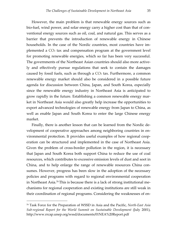However, the main problem is that renewable energy sources such as bio-fuel, wind power, and solar energy carry a higher cost than that of conventional energy sources such as oil, coal, and natural gas. This serves as a barrier that prevents the introduction of renewable energy in Chinese households. In the case of the Nordic countries, most countries have implemented a CO2 tax and compensation program at the government level for promoting renewable energies, which so far has been very successful. The governments of the Northeast Asian countries should also more actively and effectively pursue regulations that seek to contain the damages caused by fossil fuels, such as through a  $CO<sub>2</sub>$  tax. Furthermore, a common renewable energy market should also be considered in a possible future agenda for discussion between China, Japan, and South Korea, especially since the renewable energy industry in Northeast Asia is anticipated to grow rapidly in the future. Establishing a common renewable energy market in Northeast Asia would also greatly help increase the opportunities to export advanced technologies of renewable energy from Japan to China, as well as enable Japan and South Korea to enter the large Chinese energy market.

 Finally, there is another lesson that can be learned from the Nordic development of cooperative approaches among neighboring countries in environmental protection. It provides useful examples of how regional cooperation can be structured and implemented in the case of Northeast Asia. Given the problem of cross-border pollution in the region, it is necessary that Japan and South Korea both support China to reduce the use of coal resources, which contributes to excessive emission levels of dust and soot in China, and to help enlarge the range of renewable resources China consumes. However, progress has been slow in the adoption of the necessary policies and programs with regard to regional environmental cooperation in Northeast Asia.78 This is because there is a lack of strong institutional mechanisms for regional cooperation and existing institutions are still weak in their coordination of regional programs. Considering the weaknesses of en-

<sup>78</sup> Task Force for the Preparation of WSSD in Asia and the Pacific, *North-East Asia Sub-regional Report for the World Summit on Sustainable Development* (July 2001), http://www.rrcap.unep.org/wssd/documents/01NEA%20Report.pdf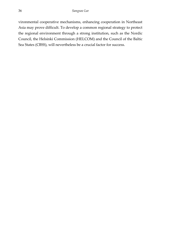vironmental cooperative mechanisms, enhancing cooperation in Northeast Asia may prove difficult. To develop a common regional strategy to protect the regional environment through a strong institution, such as the Nordic Council, the Helsinki Commission (HELCOM) and the Council of the Baltic Sea States (CBSS), will nevertheless be a crucial factor for success.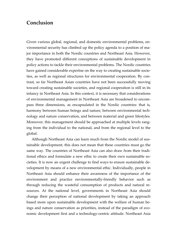# **Conclusion**

Given various global, regional, and domestic environmental problems, environmental security has climbed up the policy agenda to a position of major importance in both the Nordic countries and Northeast Asia. However, they have promoted different conceptions of sustainable development in policy actions to tackle their environmental problems. The Nordic countries have gained considerable expertise on the way to creating sustainable societies, as well as regional structures for environmental cooperation. By contrast, so far Northeast Asian countries have not been successfully moving toward creating sustainable societies, and regional cooperation is still in its infancy in Northeast Asia. In this context, it is necessary that considerations of environmental management in Northeast Asia are broadened to encompass three dimensions, as encapsulated in the Nordic countries: that is, harmony between human beings and nature, between environmental technology and nature conservation, and between material and green lifestyles. Moreover, this management should be approached at multiple levels ranging from the individual to the national, and from the regional level to the global.

 Although Northeast Asia can learn much from the Nordic model of sustainable development, this does not mean that these countries must go the same way. The countries of Northeast Asia can also draw from their traditional ethics and formulate a new ethic to create their own sustainable societies. It is now an urgent challenge to find ways to ensure sustainable development by means of a new environmental ethic. Individually, people in Northeast Asia should enhance their awareness of the importance of the environment and practice environmentally-friendly behavior such as through reducing the wasteful consumption of products and natural resources. At the national level, governments in Northeast Asia should change their perception of national development by taking an approach based more upon sustainable development with the welfare of human beings and nature conservation as priorities, instead of the paradigm of economic development first and a technology-centric attitude. Northeast Asia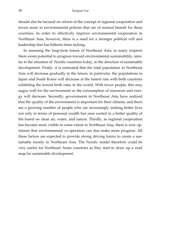should also be focused on reform of the concept of regional cooperation and invest more in environmental policies that are of mutual benefit for these countries. In order to effectively improve environmental cooperation in Northeast Asia, however, there is a need for a stronger political will and leadership that has hitherto been lacking.

 In assessing the long-term future of Northeast Asia, in many respects there exists potential to progress toward environmental sustainability, similar to the situation of Nordic countries today, in the direction of sustainable development. Firstly, it is estimated that the total population in Northeast Asia will decrease gradually in the future; in particular, the populations in Japan and South Korea will decrease at the fastest rate with both countries exhibiting the lowest birth rates in the world. With fewer people, this may augur well for the environment as the consumption of resources and energy will decrease. Secondly, governments in Northeast Asia have realized that the quality of the environment is important for their citizens, and there are a growing number of people who are increasingly seeking better lives not only in terms of personal wealth but ones rooted in a better quality of life based on clean air, water, and nature. Thirdly, as regional cooperation has become more visible to some extent in Northeast Asia, there is now optimism that environmental co-operation can also make more progress. All these factors are expected to provide strong driving forces to create a sustainable society in Northeast Asia. The Nordic model therefore could be very useful for Northeast Asian countries as they start to draw up a road map for sustainable development.